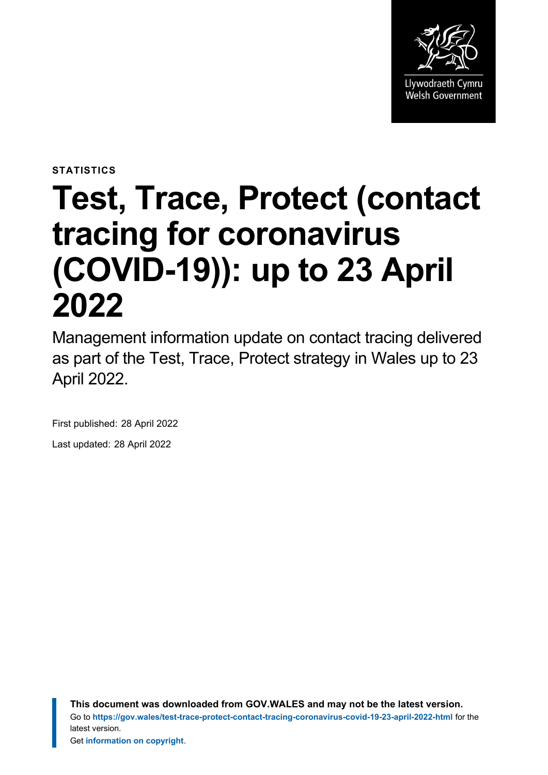

**STATISTICS**

# **Test, Trace, Protect (contact tracing for coronavirus (COVID-19)): up to 23 April 2022**

Management information update on contact tracing delivered as part of the Test, Trace, Protect strategy in Wales up to 23 April 2022.

First published: 28 April 2022 Last updated: 28 April 2022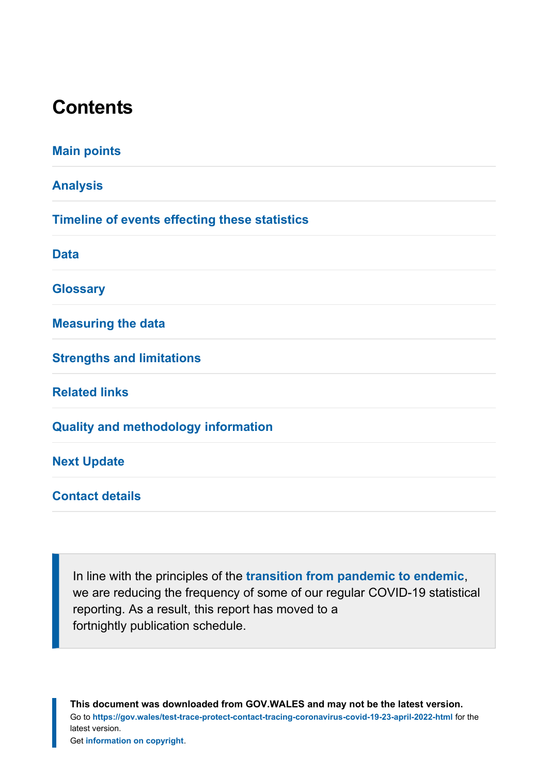# **Contents**

| <b>Main points</b>                                   |
|------------------------------------------------------|
| <b>Analysis</b>                                      |
| <b>Timeline of events effecting these statistics</b> |
| <b>Data</b>                                          |
| <b>Glossary</b>                                      |
| <b>Measuring the data</b>                            |
| <b>Strengths and limitations</b>                     |
| <b>Related links</b>                                 |
| <b>Quality and methodology information</b>           |
| <b>Next Update</b>                                   |
| <b>Contact details</b>                               |
|                                                      |

In line with the principles of the **[transition from pandemic to endemic](https://gov.wales/wales-long-term-covid-19-transition-pandemic-endemic)**, we are reducing the frequency of some of our regular COVID-19 statistical reporting. As a result, this report has moved to a fortnightly publication schedule.

**This document was downloaded from GOV.WALES and may not be the latest version.** Go to **<https://gov.wales/test-trace-protect-contact-tracing-coronavirus-covid-19-23-april-2022-html>** for the latest version. Get **[information on copyright](https://gov.wales/copyright-statement)**.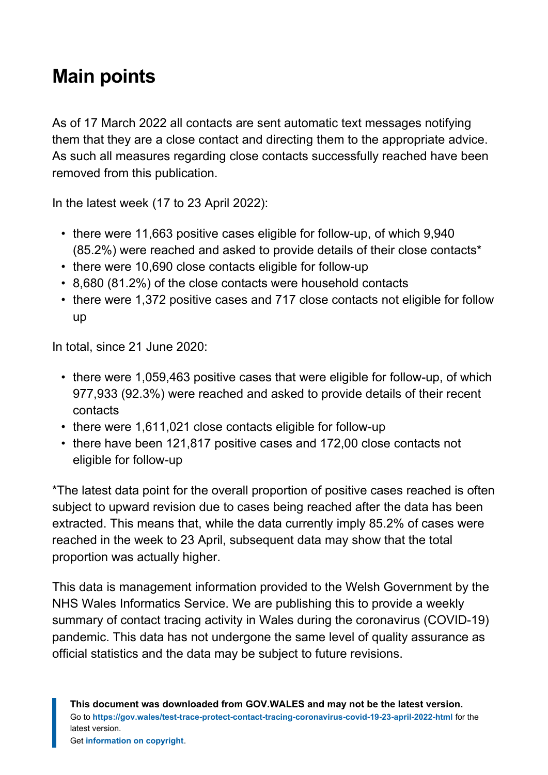# <span id="page-2-0"></span>**Main points**

As of 17 March 2022 all contacts are sent automatic text messages notifying them that they are a close contact and directing them to the appropriate advice. As such all measures regarding close contacts successfully reached have been removed from this publication.

In the latest week (17 to 23 April 2022):

- there were 11,663 positive cases eligible for follow-up, of which 9,940 (85.2%) were reached and asked to provide details of their close contacts\*
- there were 10,690 close contacts eligible for follow-up
- 8,680 (81.2%) of the close contacts were household contacts
- there were 1,372 positive cases and 717 close contacts not eligible for follow up

In total, since 21 June 2020:

- there were 1,059,463 positive cases that were eligible for follow-up, of which 977,933 (92.3%) were reached and asked to provide details of their recent contacts
- there were 1,611,021 close contacts eligible for follow-up
- there have been 121,817 positive cases and 172,00 close contacts not eligible for follow-up

\*The latest data point for the overall proportion of positive cases reached is often subject to upward revision due to cases being reached after the data has been extracted. This means that, while the data currently imply 85.2% of cases were reached in the week to 23 April, subsequent data may show that the total proportion was actually higher.

This data is management information provided to the Welsh Government by the NHS Wales Informatics Service. We are publishing this to provide a weekly summary of contact tracing activity in Wales during the coronavirus (COVID-19) pandemic. This data has not undergone the same level of quality assurance as official statistics and the data may be subject to future revisions.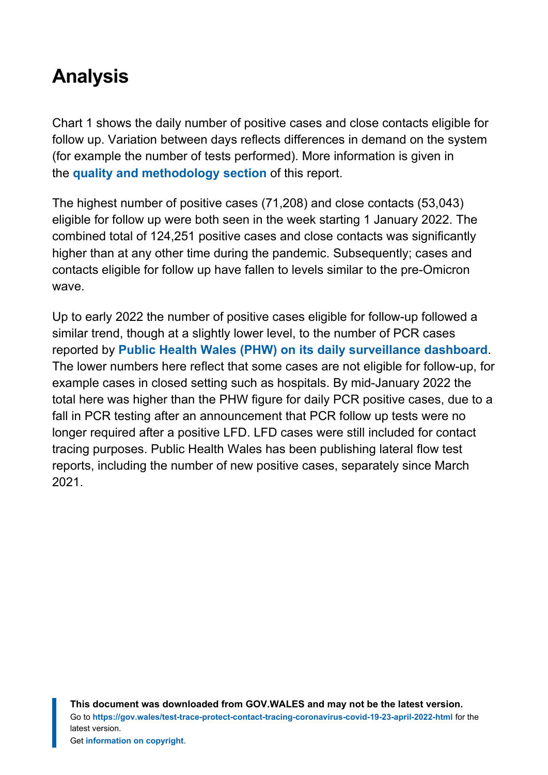# <span id="page-3-0"></span>**Analysis**

Chart 1 shows the daily number of positive cases and close contacts eligible for follow up. Variation between days reflects differences in demand on the system (for example the number of tests performed). More information is given in the **[quality and methodology section](#page-18-1)** of this report.

The highest number of positive cases (71,208) and close contacts (53,043) eligible for follow up were both seen in the week starting 1 January 2022. The combined total of 124,251 positive cases and close contacts was significantly higher than at any other time during the pandemic. Subsequently; cases and contacts eligible for follow up have fallen to levels similar to the pre-Omicron wave.

Up to early 2022 the number of positive cases eligible for follow-up followed a similar trend, though at a slightly lower level, to the number of PCR cases reported by **[Public Health Wales \(PHW\) on its](https://public.tableau.com/app/profile/public.health.wales.health.protection/viz/RapidCOVID-19virology-Public/Headlinesummary) daily surveillance dashboard**. The lower numbers here reflect that some cases are not eligible for follow-up, for example cases in closed setting such as hospitals. By mid-January 2022 the total here was higher than the PHW figure for daily PCR positive cases, due to a fall in PCR testing after an announcement that PCR follow up tests were no longer required after a positive LFD. LFD cases were still included for contact tracing purposes. Public Health Wales has been publishing lateral flow test reports, including the number of new positive cases, separately since March 2021.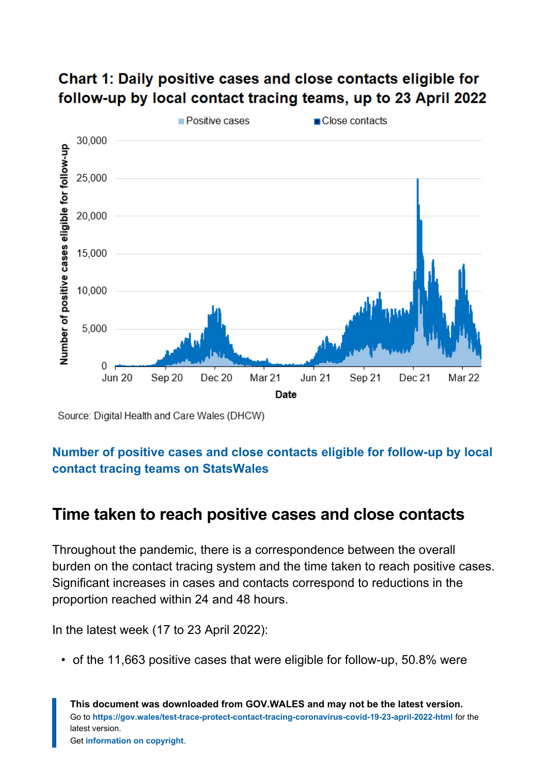

#### Chart 1: Daily positive cases and close contacts eligible for follow-up by local contact tracing teams, up to 23 April 2022

Source: Digital Health and Care Wales (DHCW)

#### **[Number of positive cases and close contacts eligible for follow-up by local](https://statswales.gov.wales/Catalogue/Health-and-Social-Care/coronavirus-covid-19/contact-tracing-for-coronavirus-covid-19/numberofpositivecasesandclosecontactseligibleforfollowup-by-localcontacttracingteams) [contact tracing teams](https://statswales.gov.wales/Catalogue/Health-and-Social-Care/coronavirus-covid-19/contact-tracing-for-coronavirus-covid-19/numberofpositivecasesandclosecontactseligibleforfollowup-by-localcontacttracingteams) on StatsWales**

#### **Time taken to reach positive cases and close contacts**

Throughout the pandemic, there is a correspondence between the overall burden on the contact tracing system and the time taken to reach positive cases. Significant increases in cases and contacts correspond to reductions in the proportion reached within 24 and 48 hours.

In the latest week (17 to 23 April 2022):

• of the 11,663 positive cases that were eligible for follow-up, 50.8% were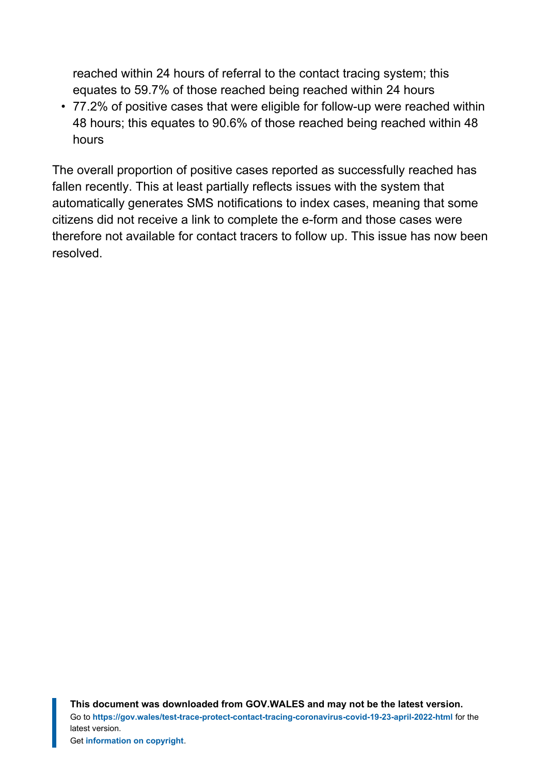reached within 24 hours of referral to the contact tracing system; this equates to 59.7% of those reached being reached within 24 hours

• 77.2% of positive cases that were eligible for follow-up were reached within 48 hours; this equates to 90.6% of those reached being reached within 48 hours

The overall proportion of positive cases reported as successfully reached has fallen recently. This at least partially reflects issues with the system that automatically generates SMS notifications to index cases, meaning that some citizens did not receive a link to complete the e-form and those cases were therefore not available for contact tracers to follow up. This issue has now been resolved.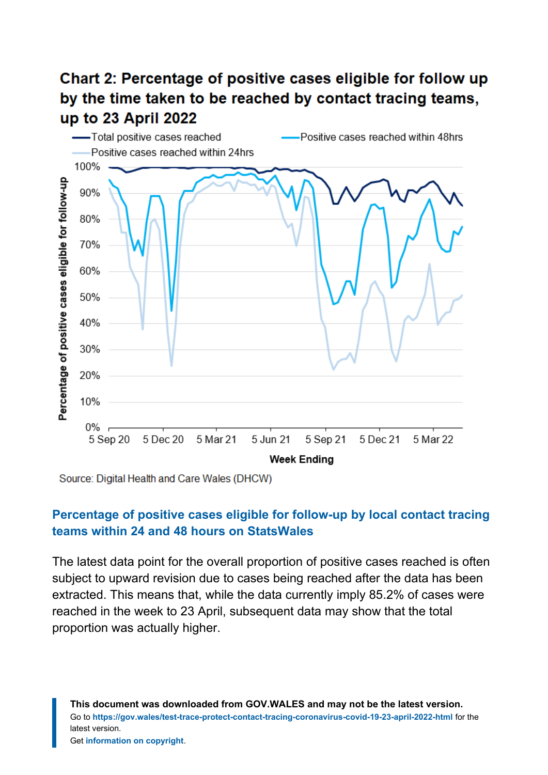### Chart 2: Percentage of positive cases eligible for follow up by the time taken to be reached by contact tracing teams, up to 23 April 2022



Source: Digital Health and Care Wales (DHCW)

#### **[Percentage of positive cases eligible for follow-up by local contact tracing](https://statswales.gov.wales/Catalogue/Health-and-Social-Care/coronavirus-covid-19/contact-tracing-for-coronavirus-covid-19/contacttracingtimesforpositivecasesandclosecontacts) teams [within 24 and 48 hours on StatsWales](https://statswales.gov.wales/Catalogue/Health-and-Social-Care/coronavirus-covid-19/contact-tracing-for-coronavirus-covid-19/contacttracingtimesforpositivecasesandclosecontacts)**

The latest data point for the overall proportion of positive cases reached is often subject to upward revision due to cases being reached after the data has been extracted. This means that, while the data currently imply 85.2% of cases were reached in the week to 23 April, subsequent data may show that the total proportion was actually higher.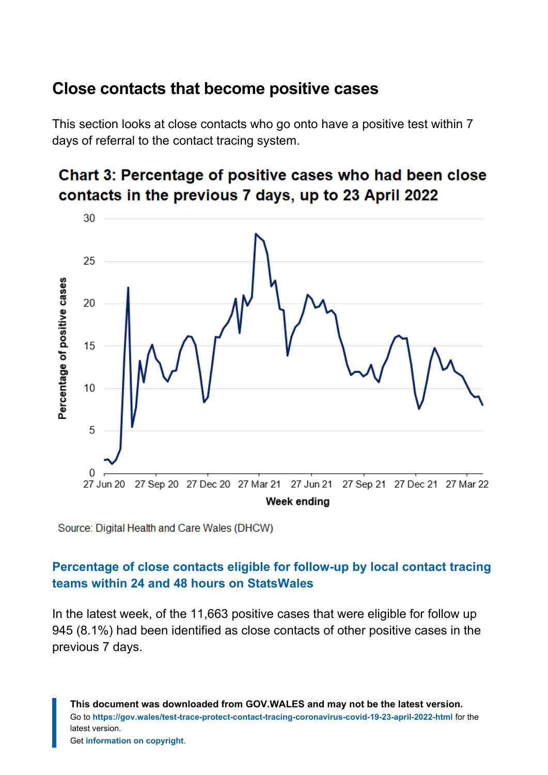#### **Close contacts that become positive cases**

This section looks at close contacts who go onto have a positive test within 7 days of referral to the contact tracing system.





Source: Digital Health and Care Wales (DHCW)

#### **[Percentage of close contacts eligible for follow-up by local contact tracing](https://statswales.gov.wales/Catalogue/Health-and-Social-Care/coronavirus-covid-19/contact-tracing-for-coronavirus-covid-19/contacttracingtimesforpositivecasesandclosecontacts) teams [within 24 and 48 hours on StatsWales](https://statswales.gov.wales/Catalogue/Health-and-Social-Care/coronavirus-covid-19/contact-tracing-for-coronavirus-covid-19/contacttracingtimesforpositivecasesandclosecontacts)**

In the latest week, of the 11,663 positive cases that were eligible for follow up 945 (8.1%) had been identified as close contacts of other positive cases in the previous 7 days.

**This document was downloaded from GOV.WALES and may not be the latest version.** Go to **<https://gov.wales/test-trace-protect-contact-tracing-coronavirus-covid-19-23-april-2022-html>** for the latest version. Get **[information on copyright](https://gov.wales/copyright-statement)**.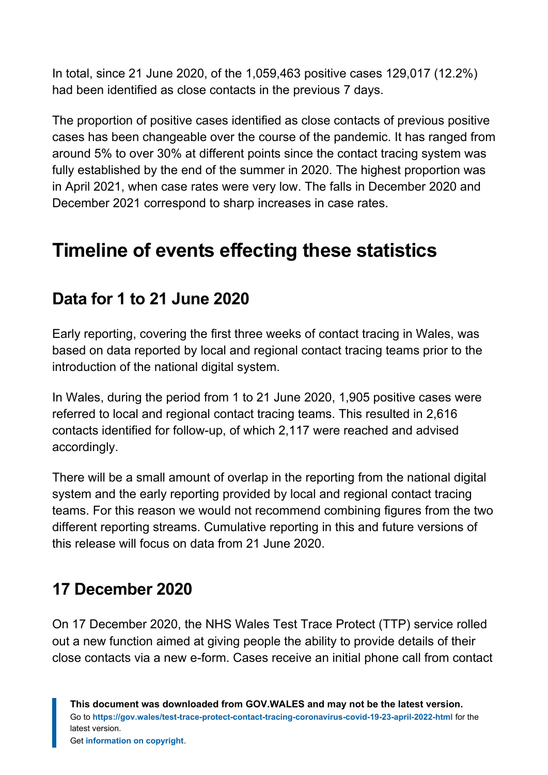In total, since 21 June 2020, of the 1,059,463 positive cases 129,017 (12.2%) had been identified as close contacts in the previous 7 days.

The proportion of positive cases identified as close contacts of previous positive cases has been changeable over the course of the pandemic. It has ranged from around 5% to over 30% at different points since the contact tracing system was fully established by the end of the summer in 2020. The highest proportion was in April 2021, when case rates were very low. The falls in December 2020 and December 2021 correspond to sharp increases in case rates.

# <span id="page-8-0"></span>**Timeline of events effecting these statistics**

### **Data for 1 to 21 June 2020**

Early reporting, covering the first three weeks of contact tracing in Wales, was based on data reported by local and regional contact tracing teams prior to the introduction of the national digital system.

In Wales, during the period from 1 to 21 June 2020, 1,905 positive cases were referred to local and regional contact tracing teams. This resulted in 2,616 contacts identified for follow-up, of which 2,117 were reached and advised accordingly.

There will be a small amount of overlap in the reporting from the national digital system and the early reporting provided by local and regional contact tracing teams. For this reason we would not recommend combining figures from the two different reporting streams. Cumulative reporting in this and future versions of this release will focus on data from 21 June 2020.

### **17 December 2020**

On 17 December 2020, the NHS Wales Test Trace Protect (TTP) service rolled out a new function aimed at giving people the ability to provide details of their close contacts via a new e-form. Cases receive an initial phone call from contact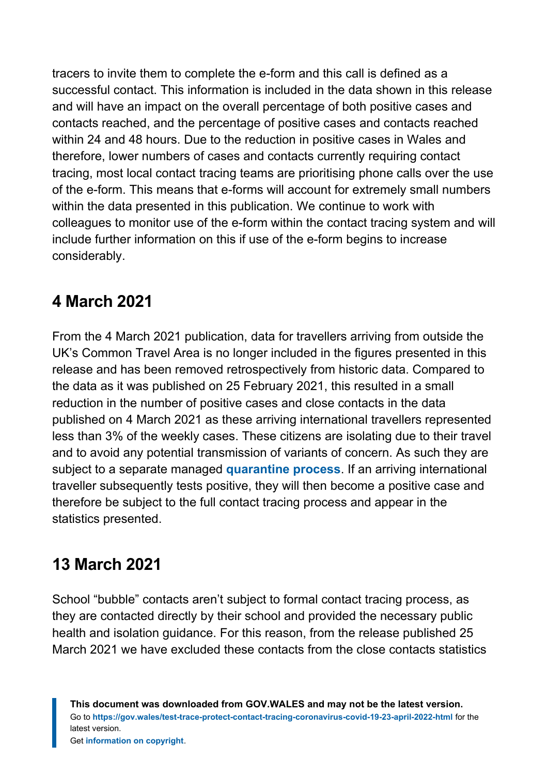tracers to invite them to complete the e-form and this call is defined as a successful contact. This information is included in the data shown in this release and will have an impact on the overall percentage of both positive cases and contacts reached, and the percentage of positive cases and contacts reached within 24 and 48 hours. Due to the reduction in positive cases in Wales and therefore, lower numbers of cases and contacts currently requiring contact tracing, most local contact tracing teams are prioritising phone calls over the use of the e-form. This means that e-forms will account for extremely small numbers within the data presented in this publication. We continue to work with colleagues to monitor use of the e-form within the contact tracing system and will include further information on this if use of the e-form begins to increase considerably.

### **4 March 2021**

From the 4 March 2021 publication, data for travellers arriving from outside the UK's Common Travel Area is no longer included in the figures presented in this release and has been removed retrospectively from historic data. Compared to the data as it was published on 25 February 2021, this resulted in a small reduction in the number of positive cases and close contacts in the data published on 4 March 2021 as these arriving international travellers represented less than 3% of the weekly cases. These citizens are isolating due to their travel and to avoid any potential transmission of variants of concern. As such they are subject to a separate managed **[quarantine process](https://gov.wales/node/36092)**. If an arriving international traveller subsequently tests positive, they will then become a positive case and therefore be subject to the full contact tracing process and appear in the statistics presented.

# **13 March 2021**

School "bubble" contacts aren't subject to formal contact tracing process, as they are contacted directly by their school and provided the necessary public health and isolation guidance. For this reason, from the release published 25 March 2021 we have excluded these contacts from the close contacts statistics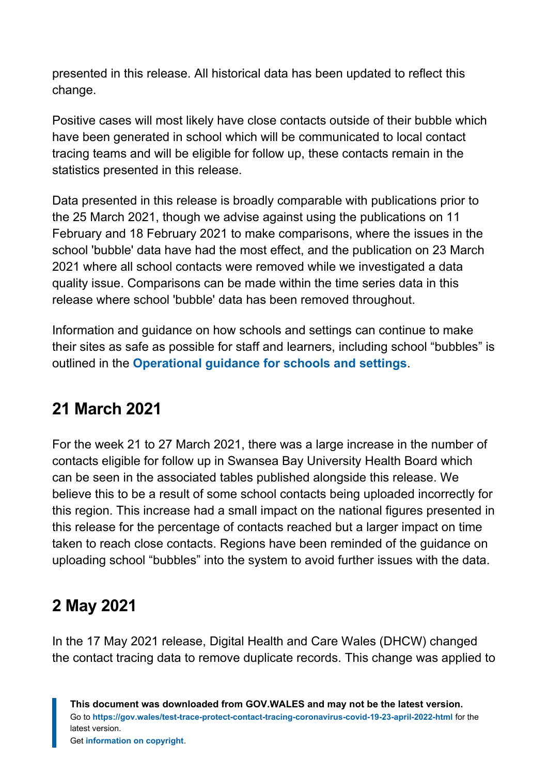presented in this release. All historical data has been updated to reflect this change.

Positive cases will most likely have close contacts outside of their bubble which have been generated in school which will be communicated to local contact tracing teams and will be eligible for follow up, these contacts remain in the statistics presented in this release.

Data presented in this release is broadly comparable with publications prior to the 25 March 2021, though we advise against using the publications on 11 February and 18 February 2021 to make comparisons, where the issues in the school 'bubble' data have had the most effect, and the publication on 23 March 2021 where all school contacts were removed while we investigated a data quality issue. Comparisons can be made within the time series data in this release where school 'bubble' data has been removed throughout.

Information and guidance on how schools and settings can continue to make their sites as safe as possible for staff and learners, including school "bubbles" is outlined in the **[Operational guidance for schools and settings](https://gov.wales/schools-coronavirus-guidance)**.

# **21 March 2021**

For the week 21 to 27 March 2021, there was a large increase in the number of contacts eligible for follow up in Swansea Bay University Health Board which can be seen in the associated tables published alongside this release. We believe this to be a result of some school contacts being uploaded incorrectly for this region. This increase had a small impact on the national figures presented in this release for the percentage of contacts reached but a larger impact on time taken to reach close contacts. Regions have been reminded of the guidance on uploading school "bubbles" into the system to avoid further issues with the data.

### **2 May 2021**

In the 17 May 2021 release, Digital Health and Care Wales (DHCW) changed the contact tracing data to remove duplicate records. This change was applied to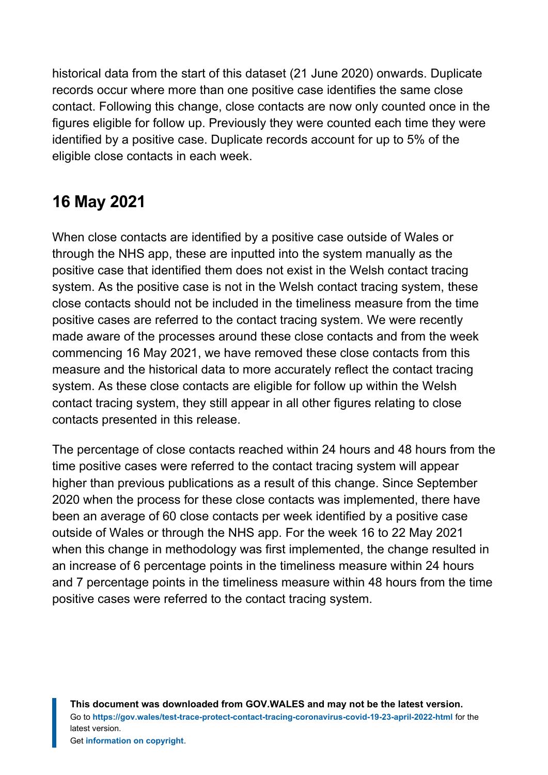historical data from the start of this dataset (21 June 2020) onwards. Duplicate records occur where more than one positive case identifies the same close contact. Following this change, close contacts are now only counted once in the figures eligible for follow up. Previously they were counted each time they were identified by a positive case. Duplicate records account for up to 5% of the eligible close contacts in each week.

# **16 May 2021**

When close contacts are identified by a positive case outside of Wales or through the NHS app, these are inputted into the system manually as the positive case that identified them does not exist in the Welsh contact tracing system. As the positive case is not in the Welsh contact tracing system, these close contacts should not be included in the timeliness measure from the time positive cases are referred to the contact tracing system. We were recently made aware of the processes around these close contacts and from the week commencing 16 May 2021, we have removed these close contacts from this measure and the historical data to more accurately reflect the contact tracing system. As these close contacts are eligible for follow up within the Welsh contact tracing system, they still appear in all other figures relating to close contacts presented in this release.

The percentage of close contacts reached within 24 hours and 48 hours from the time positive cases were referred to the contact tracing system will appear higher than previous publications as a result of this change. Since September 2020 when the process for these close contacts was implemented, there have been an average of 60 close contacts per week identified by a positive case outside of Wales or through the NHS app. For the week 16 to 22 May 2021 when this change in methodology was first implemented, the change resulted in an increase of 6 percentage points in the timeliness measure within 24 hours and 7 percentage points in the timeliness measure within 48 hours from the time positive cases were referred to the contact tracing system.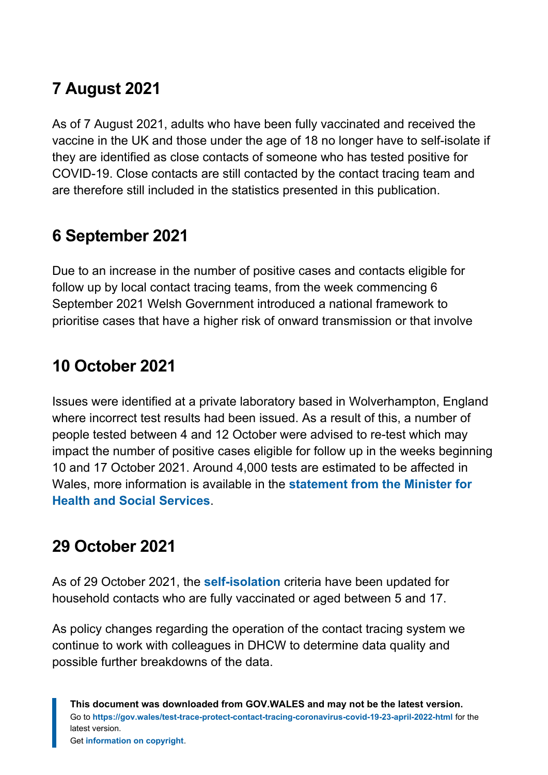# **7 August 2021**

As of 7 August 2021, adults who have been fully vaccinated and received the vaccine in the UK and those under the age of 18 no longer have to self-isolate if they are identified as close contacts of someone who has tested positive for COVID-19. Close contacts are still contacted by the contact tracing team and are therefore still included in the statistics presented in this publication.

# **6 September 2021**

Due to an increase in the number of positive cases and contacts eligible for follow up by local contact tracing teams, from the week commencing 6 September 2021 Welsh Government introduced a national framework to prioritise cases that have a higher risk of onward transmission or that involve

# **10 October 2021**

Issues were identified at a private laboratory based in Wolverhampton, England where incorrect test results had been issued. As a result of this, a number of people tested between 4 and 12 October were advised to re-test which may impact the number of positive cases eligible for follow up in the weeks beginning 10 and 17 October 2021. Around 4,000 tests are estimated to be affected in Wales, more information is available in the **[statement from the Minister for](https://gov.wales/written-statement-has-issued-update-welsh-residents-impacted-incorrect-covid-19-test-results) [Health and Social Services](https://gov.wales/written-statement-has-issued-update-welsh-residents-impacted-incorrect-covid-19-test-results)**.

# **29 October 2021**

As of 29 October 2021, the **[self-isolation](https://gov.wales/self-isolation)** criteria have been updated for household contacts who are fully vaccinated or aged between 5 and 17.

As policy changes regarding the operation of the contact tracing system we continue to work with colleagues in DHCW to determine data quality and possible further breakdowns of the data.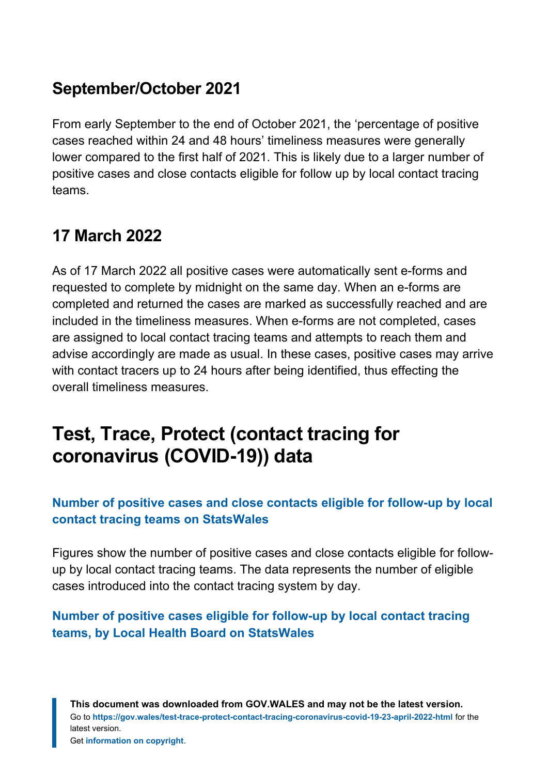### **September/October 2021**

From early September to the end of October 2021, the 'percentage of positive cases reached within 24 and 48 hours' timeliness measures were generally lower compared to the first half of 2021. This is likely due to a larger number of positive cases and close contacts eligible for follow up by local contact tracing teams.

# **17 March 2022**

As of 17 March 2022 all positive cases were automatically sent e-forms and requested to complete by midnight on the same day. When an e-forms are completed and returned the cases are marked as successfully reached and are included in the timeliness measures. When e-forms are not completed, cases are assigned to local contact tracing teams and attempts to reach them and advise accordingly are made as usual. In these cases, positive cases may arrive with contact tracers up to 24 hours after being identified, thus effecting the overall timeliness measures.

# <span id="page-13-0"></span>**Test, Trace, Protect (contact tracing for coronavirus (COVID-19)) data**

#### **[Number of positive cases and close contacts eligible for follow-up by local](https://statswales.gov.wales/Catalogue/Health-and-Social-Care/coronavirus-covid-19/contact-tracing-for-coronavirus-covid-19/numberofpositivecasesandclosecontactseligibleforfollowup-by-localcontacttracingteams) [contact tracing teams on StatsWales](https://statswales.gov.wales/Catalogue/Health-and-Social-Care/coronavirus-covid-19/contact-tracing-for-coronavirus-covid-19/numberofpositivecasesandclosecontactseligibleforfollowup-by-localcontacttracingteams)**

Figures show the number of positive cases and close contacts eligible for followup by local contact tracing teams. The data represents the number of eligible cases introduced into the contact tracing system by day.

#### **[Number of positive cases eligible for follow-up by local contact tracing](https://statswales.gov.wales/Catalogue/Health-and-Social-Care/coronavirus-covid-19/contact-tracing-for-coronavirus-covid-19/numberofpositivecaseseligibleforfollowup-by-localcontacttracingteams-lhb) [teams, by Local Health Board on StatsWales](https://statswales.gov.wales/Catalogue/Health-and-Social-Care/coronavirus-covid-19/contact-tracing-for-coronavirus-covid-19/numberofpositivecaseseligibleforfollowup-by-localcontacttracingteams-lhb)**

**This document was downloaded from GOV.WALES and may not be the latest version.** Go to **<https://gov.wales/test-trace-protect-contact-tracing-coronavirus-covid-19-23-april-2022-html>** for the latest version. Get **[information on copyright](https://gov.wales/copyright-statement)**.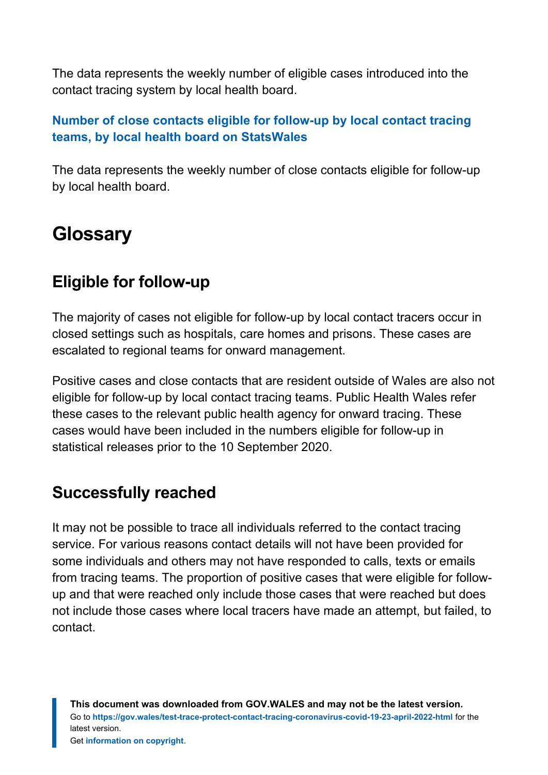The data represents the weekly number of eligible cases introduced into the contact tracing system by local health board.

#### **[Number of close contacts eligible for follow-up by local contact tracing](https://statswales.gov.wales/Catalogue/Health-and-Social-Care/coronavirus-covid-19/contact-tracing-for-coronavirus-covid-19/numberofclosecontactseligibleforfollowup-by-localcontacttracingteams-lhb) [teams, by local health board on StatsWales](https://statswales.gov.wales/Catalogue/Health-and-Social-Care/coronavirus-covid-19/contact-tracing-for-coronavirus-covid-19/numberofclosecontactseligibleforfollowup-by-localcontacttracingteams-lhb)**

The data represents the weekly number of close contacts eligible for follow-up by local health board.

# <span id="page-14-0"></span>**Glossary**

### **Eligible for follow-up**

The majority of cases not eligible for follow-up by local contact tracers occur in closed settings such as hospitals, care homes and prisons. These cases are escalated to regional teams for onward management.

Positive cases and close contacts that are resident outside of Wales are also not eligible for follow-up by local contact tracing teams. Public Health Wales refer these cases to the relevant public health agency for onward tracing. These cases would have been included in the numbers eligible for follow-up in statistical releases prior to the 10 September 2020.

### **Successfully reached**

It may not be possible to trace all individuals referred to the contact tracing service. For various reasons contact details will not have been provided for some individuals and others may not have responded to calls, texts or emails from tracing teams. The proportion of positive cases that were eligible for followup and that were reached only include those cases that were reached but does not include those cases where local tracers have made an attempt, but failed, to contact.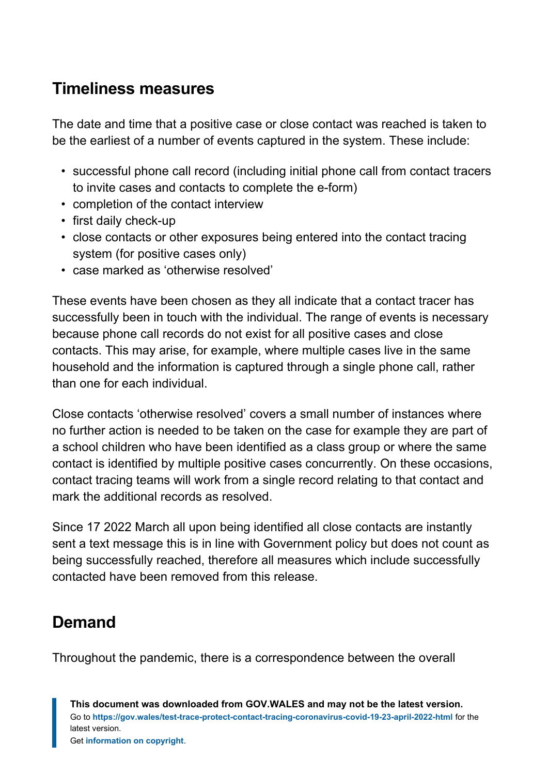### **Timeliness measures**

The date and time that a positive case or close contact was reached is taken to be the earliest of a number of events captured in the system. These include:

- successful phone call record (including initial phone call from contact tracers to invite cases and contacts to complete the e-form)
- completion of the contact interview
- first daily check-up
- close contacts or other exposures being entered into the contact tracing system (for positive cases only)
- case marked as 'otherwise resolved'

These events have been chosen as they all indicate that a contact tracer has successfully been in touch with the individual. The range of events is necessary because phone call records do not exist for all positive cases and close contacts. This may arise, for example, where multiple cases live in the same household and the information is captured through a single phone call, rather than one for each individual.

Close contacts 'otherwise resolved' covers a small number of instances where no further action is needed to be taken on the case for example they are part of a school children who have been identified as a class group or where the same contact is identified by multiple positive cases concurrently. On these occasions, contact tracing teams will work from a single record relating to that contact and mark the additional records as resolved.

Since 17 2022 March all upon being identified all close contacts are instantly sent a text message this is in line with Government policy but does not count as being successfully reached, therefore all measures which include successfully contacted have been removed from this release.

### **Demand**

Throughout the pandemic, there is a correspondence between the overall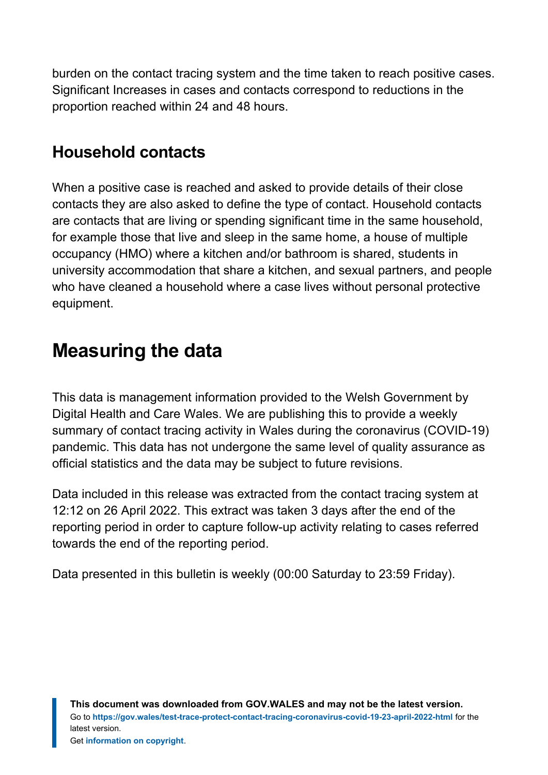burden on the contact tracing system and the time taken to reach positive cases. Significant Increases in cases and contacts correspond to reductions in the proportion reached within 24 and 48 hours.

### **Household contacts**

When a positive case is reached and asked to provide details of their close contacts they are also asked to define the type of contact. Household contacts are contacts that are living or spending significant time in the same household, for example those that live and sleep in the same home, a house of multiple occupancy (HMO) where a kitchen and/or bathroom is shared, students in university accommodation that share a kitchen, and sexual partners, and people who have cleaned a household where a case lives without personal protective equipment.

# <span id="page-16-0"></span>**Measuring the data**

This data is management information provided to the Welsh Government by Digital Health and Care Wales. We are publishing this to provide a weekly summary of contact tracing activity in Wales during the coronavirus (COVID-19) pandemic. This data has not undergone the same level of quality assurance as official statistics and the data may be subject to future revisions.

Data included in this release was extracted from the contact tracing system at 12:12 on 26 April 2022. This extract was taken 3 days after the end of the reporting period in order to capture follow-up activity relating to cases referred towards the end of the reporting period.

Data presented in this bulletin is weekly (00:00 Saturday to 23:59 Friday).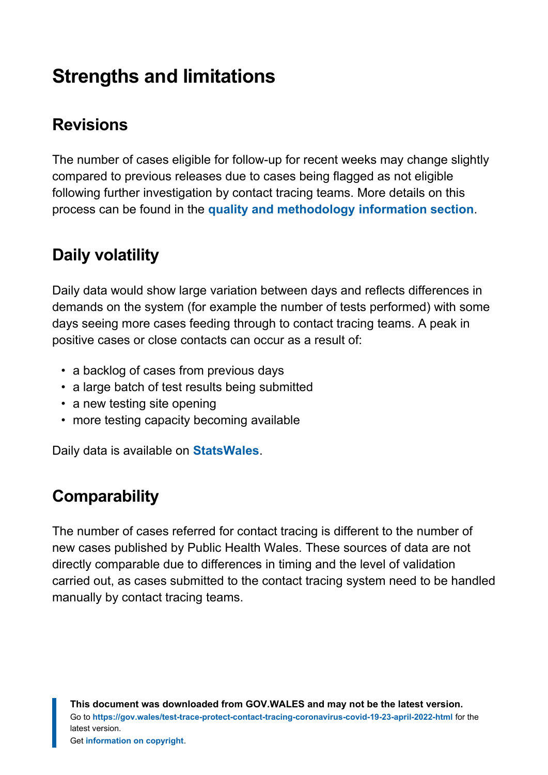# <span id="page-17-0"></span>**Strengths and limitations**

# **Revisions**

The number of cases eligible for follow-up for recent weeks may change slightly compared to previous releases due to cases being flagged as not eligible following further investigation by contact tracing teams. More details on this process can be found in the **[quality and methodology information section](#page-18-1)**.

# **Daily volatility**

Daily data would show large variation between days and reflects differences in demands on the system (for example the number of tests performed) with some days seeing more cases feeding through to contact tracing teams. A peak in positive cases or close contacts can occur as a result of:

- a backlog of cases from previous days
- a large batch of test results being submitted
- a new testing site opening
- more testing capacity becoming available

Daily data is available on **[StatsWales](https://statswales.gov.wales/Catalogue/Health-and-Social-Care/coronavirus-covid-19/contact-tracing-for-coronavirus-covid-19/numberofpositivecasesandclosecontactseligibleforfollowup-by-localcontacttracingteams)**.

# **Comparability**

The number of cases referred for contact tracing is different to the number of new cases published by Public Health Wales. These sources of data are not directly comparable due to differences in timing and the level of validation carried out, as cases submitted to the contact tracing system need to be handled manually by contact tracing teams.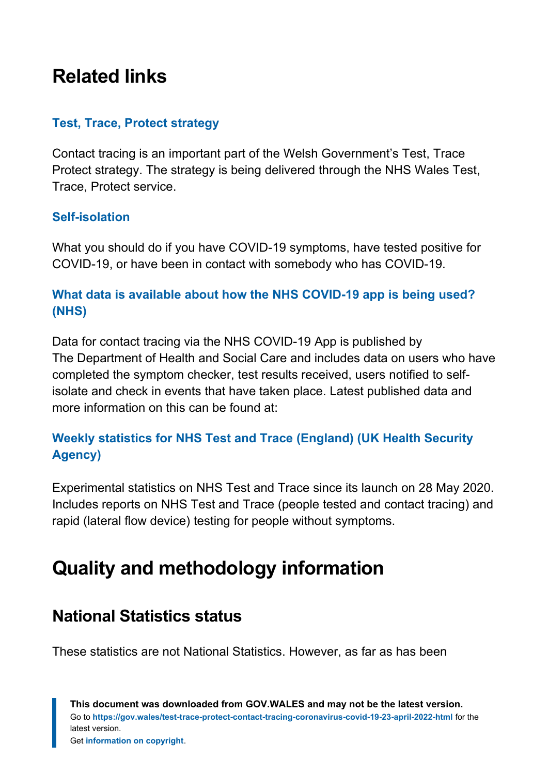# <span id="page-18-0"></span>**Related links**

#### **[Test, Trace, Protect strategy](https://gov.wales/test-trace-protect)**

Contact tracing is an important part of the Welsh Government's Test, Trace Protect strategy. The strategy is being delivered through the NHS Wales Test, Trace, Protect service.

#### **[Self-isolation](https://gov.wales/self-isolation)**

What you should do if you have COVID-19 symptoms, have tested positive for COVID-19, or have been in contact with somebody who has COVID-19.

#### **[What data is available about how the NHS COVID-19 app is being used?](https://faq.covid19.nhs.uk/article/KA-01367) [\(NHS\)](https://faq.covid19.nhs.uk/article/KA-01367)**

Data for contact tracing via the NHS COVID-19 App is published by The Department of Health and Social Care and includes data on users who have completed the symptom checker, test results received, users notified to selfisolate and check in events that have taken place. Latest published data and more information on this can be found at:

#### **[Weekly statistics for NHS Test and Trace \(England\) \(UK Health Security](https://www.gov.uk/government/collections/nhs-test-and-trace-statistics-england-weekly-reports) [Agency\)](https://www.gov.uk/government/collections/nhs-test-and-trace-statistics-england-weekly-reports)**

Experimental statistics on NHS Test and Trace since its launch on 28 May 2020. Includes reports on NHS Test and Trace (people tested and contact tracing) and rapid (lateral flow device) testing for people without symptoms.

# <span id="page-18-1"></span>**Quality and methodology information**

#### **National Statistics status**

These statistics are not National Statistics. However, as far as has been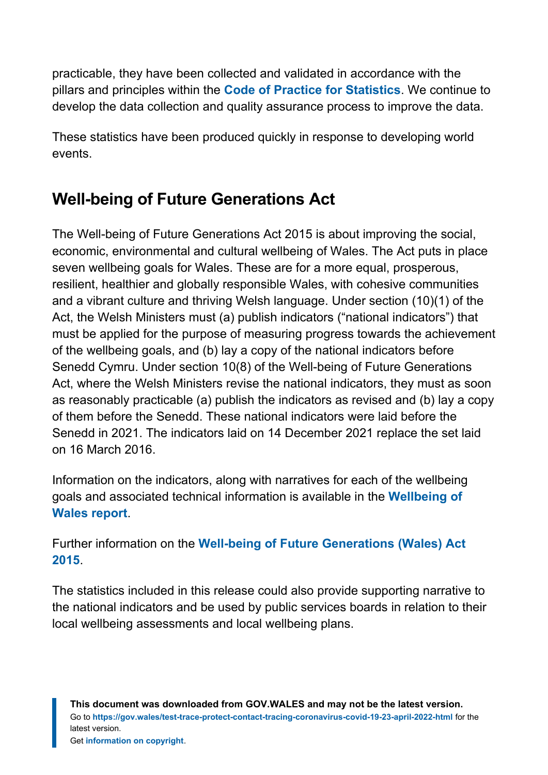practicable, they have been collected and validated in accordance with the pillars and principles within the **[Code of Practice for Statistics](https://code.statisticsauthority.gov.uk/)**. We continue to develop the data collection and quality assurance process to improve the data.

These statistics have been produced quickly in response to developing world events.

# **Well-being of Future Generations Act**

The Well-being of Future Generations Act 2015 is about improving the social, economic, environmental and cultural wellbeing of Wales. The Act puts in place seven wellbeing goals for Wales. These are for a more equal, prosperous, resilient, healthier and globally responsible Wales, with cohesive communities and a vibrant culture and thriving Welsh language. Under section (10)(1) of the Act, the Welsh Ministers must (a) publish indicators ("national indicators") that must be applied for the purpose of measuring progress towards the achievement of the wellbeing goals, and (b) lay a copy of the national indicators before Senedd Cymru. Under section 10(8) of the Well-being of Future Generations Act, where the Welsh Ministers revise the national indicators, they must as soon as reasonably practicable (a) publish the indicators as revised and (b) lay a copy of them before the Senedd. These national indicators were laid before the Senedd in 2021. The indicators laid on 14 December 2021 replace the set laid on 16 March 2016.

Information on the indicators, along with narratives for each of the wellbeing goals and associated technical information is available in the **[Wellbeing of](https://gov.wales/wellbeing-wales) [Wales report](https://gov.wales/wellbeing-wales)**.

Further information on the **[Well-being of Future Generations \(Wales\) Act](https://gov.wales/well-being-future-generations-wales-act-2015-guidance) [2015](https://gov.wales/well-being-future-generations-wales-act-2015-guidance)**.

The statistics included in this release could also provide supporting narrative to the national indicators and be used by public services boards in relation to their local wellbeing assessments and local wellbeing plans.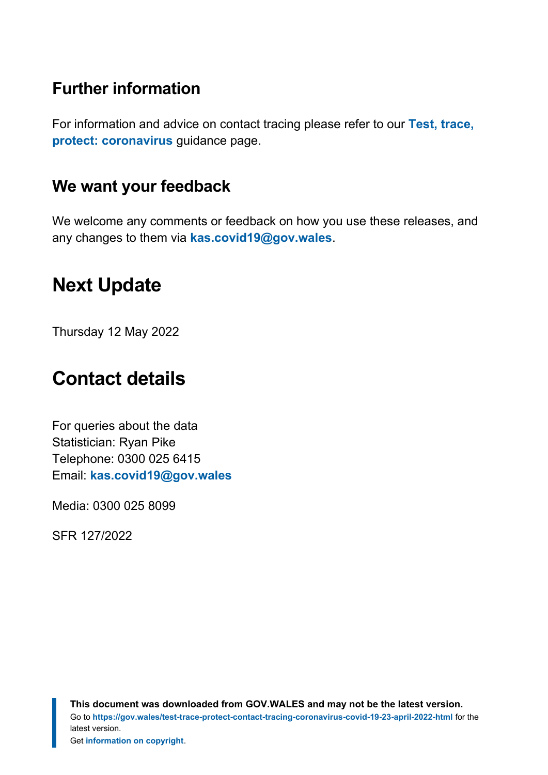### **Further information**

For information and advice on contact tracing please refer to our **[Test, trace,](https://gov.wales/test-trace-protect-coronavirus) [protect: coronavirus](https://gov.wales/test-trace-protect-coronavirus)** guidance page.

#### **We want your feedback**

We welcome any comments or feedback on how you use these releases, and any changes to them via **[kas.covid19@gov.wales](mailto:KAS.COVID19@gov.wales)**.

# <span id="page-20-0"></span>**Next Update**

Thursday 12 May 2022

# <span id="page-20-1"></span>**Contact details**

For queries about the data Statistician: Ryan Pike Telephone: 0300 025 6415 Email: **[kas.covid19@gov.wales](mailto:kas.covid19@gov.wales)**

Media: 0300 025 8099

SFR 127/2022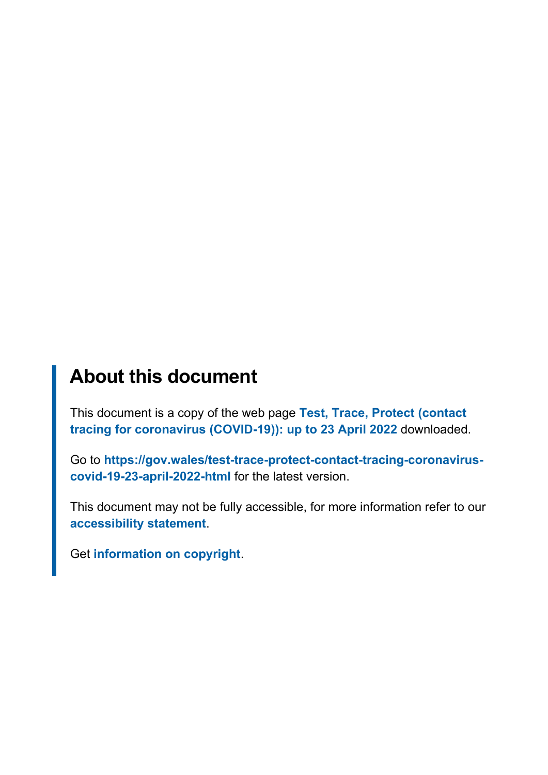# **About this document**

This document is a copy of the web page **[Test, Trace, Protect \(contact](https://gov.wales/test-trace-protect-contact-tracing-coronavirus-covid-19-23-april-2022-html) [tracing for coronavirus \(COVID-19\)\): up to 23 April 2022](https://gov.wales/test-trace-protect-contact-tracing-coronavirus-covid-19-23-april-2022-html)** downloaded.

Go to **[https://gov.wales/test-trace-protect-contact-tracing-coronavirus](https://gov.wales/test-trace-protect-contact-tracing-coronavirus-covid-19-23-april-2022-html)[covid-19-23-april-2022-html](https://gov.wales/test-trace-protect-contact-tracing-coronavirus-covid-19-23-april-2022-html)** for the latest version.

This document may not be fully accessible, for more information refer to our **[accessibility statement](https://gov.wales/accessibility-statement-govwales)**.

Get **[information on copyright](https://gov.wales/copyright-statement)**.